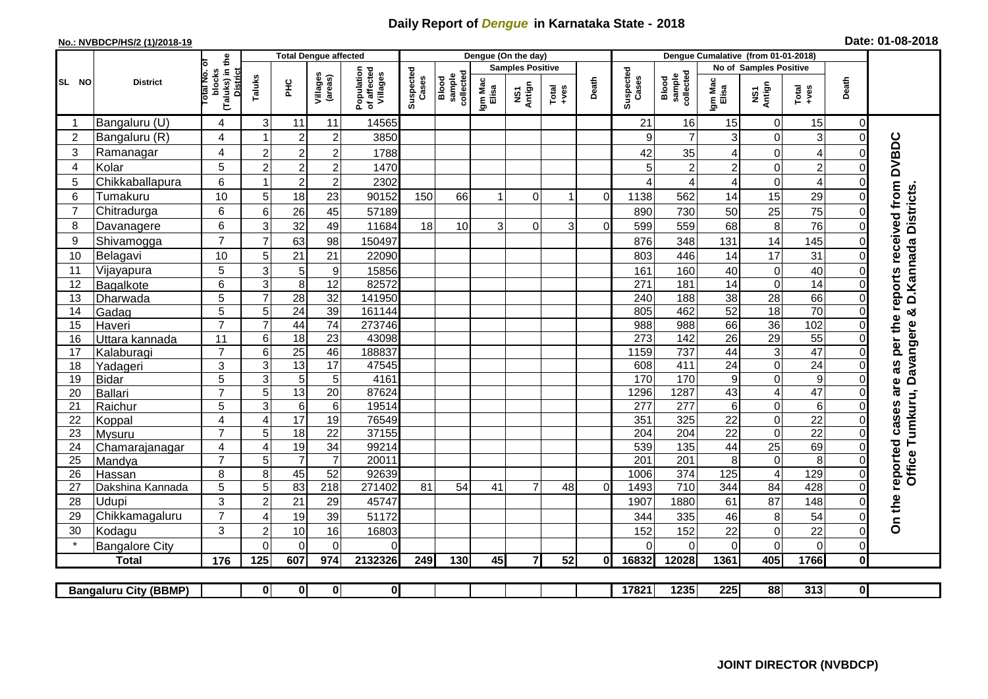## **Daily Report of** *Dengue* **in Karnataka State - 2018**

## **No.: NVBDCP/HS/2 (1)/2018-19 Date: 01-08-2018**

|                                                                                                                                                       | <b>District</b>          |                                                              | <b>Total Dengue affected</b> |                         |                                    |                                       |                    |                              |                         | Dengue (On the day) |                  |                |                        |                                     |                       |                         |                                    |                         |                                                              |
|-------------------------------------------------------------------------------------------------------------------------------------------------------|--------------------------|--------------------------------------------------------------|------------------------------|-------------------------|------------------------------------|---------------------------------------|--------------------|------------------------------|-------------------------|---------------------|------------------|----------------|------------------------|-------------------------------------|-----------------------|-------------------------|------------------------------------|-------------------------|--------------------------------------------------------------|
|                                                                                                                                                       |                          |                                                              |                              |                         |                                    |                                       |                    |                              | <b>Samples Positive</b> |                     |                  |                | No of Samples Positive |                                     |                       |                         |                                    |                         |                                                              |
| SL NO                                                                                                                                                 |                          | (Taluks) in the<br>Total No. Of<br>blocks<br><b>District</b> | Taluks<br>ΞÉ                 |                         | Villages<br>(areas)                | Population<br>of affected<br>Villages | Suspected<br>Cases | sample<br>collected<br>Blood | Igm Mac<br>Elisa        | NS1<br>Antign       | $Tota$<br>$+ves$ | Death          | Suspected<br>Cases     | collected<br><b>Blood</b><br>sample | Igm Mac<br>Elisa      | NS1<br>Antign           | Total<br>+ves                      | Death                   |                                                              |
|                                                                                                                                                       | Bangaluru (U)            | 4                                                            | 3                            | 11                      | 11                                 | 14565                                 |                    |                              |                         |                     |                  |                | 21                     | 16                                  | 15                    | 0                       | 15                                 | $\mathbf 0$             |                                                              |
| $\overline{2}$                                                                                                                                        | Bangaluru (R)            | 4                                                            |                              | $\overline{2}$          | $\overline{c}$                     | 3850                                  |                    |                              |                         |                     |                  |                | 9                      | $\overline{7}$                      | 3                     | 0                       | 3                                  | $\mathbf 0$             |                                                              |
| 3                                                                                                                                                     | Ramanagar                | 4                                                            | $\overline{c}$               | $\overline{2}$          | $\overline{2}$                     | 1788                                  |                    |                              |                         |                     |                  |                | 42                     | 35                                  | 4                     | $\overline{0}$          | $\overline{\mathbf{4}}$            | $\Omega$                | <b>DVBDC</b>                                                 |
| 4                                                                                                                                                     | Kolar                    | 5                                                            | $\overline{2}$               | $\overline{\mathbf{c}}$ | 2                                  | 1470                                  |                    |                              |                         |                     |                  |                | 5                      | $\overline{a}$                      | $\overline{c}$        | 0                       | $\overline{c}$                     | $\Omega$                |                                                              |
| 5                                                                                                                                                     | Chikkaballapura          | 6                                                            |                              | $\overline{2}$          | $\overline{c}$                     | 2302                                  |                    |                              |                         |                     |                  |                | ⊿                      | $\overline{4}$                      | 4                     | 0                       | $\overline{4}$                     | 0                       |                                                              |
| 6                                                                                                                                                     | Tumakuru                 | 10                                                           | 5                            | 18                      | 23                                 | 90152                                 | 150                | 66                           | 1                       | $\Omega$            | 1                | $\Omega$       | 1138                   | 562                                 | 14                    | 15                      | 29                                 | $\Omega$                | are as per the reports received from<br>D. Kannada Districts |
| 7                                                                                                                                                     | Chitradurga              | 6                                                            | 6                            | 26                      | 45                                 | 57189                                 |                    |                              |                         |                     |                  |                | 890                    | 730                                 | 50                    | 25                      | 75                                 | $\Omega$                |                                                              |
| 8                                                                                                                                                     | Davanagere               | 6                                                            | 3                            | 32                      | 49                                 | 11684                                 | 18                 | 10                           | 3                       | $\Omega$            | 3                | $\Omega$       | 599                    | 559                                 | 68                    | 8                       | 76                                 | $\mathbf 0$             |                                                              |
| 9                                                                                                                                                     | Shivamogga               | $\overline{7}$                                               | 7                            | 63                      | 98                                 | 150497                                |                    |                              |                         |                     |                  |                | 876                    | 348                                 | 131                   | 14                      | 145                                | $\Omega$                |                                                              |
| 10                                                                                                                                                    | Belagavi                 | 10                                                           | 5                            | 21                      | 21                                 | 22090                                 |                    |                              |                         |                     |                  |                | 803                    | 446                                 | 14                    | 17                      | 31                                 | $\mathbf 0$             |                                                              |
| 11                                                                                                                                                    | Vijayapura               | 5                                                            | 3                            | 5                       | $\boldsymbol{9}$                   | 15856                                 |                    |                              |                         |                     |                  |                | 161                    | 160                                 | 40                    | 0                       | 40                                 | $\Omega$                |                                                              |
| 12                                                                                                                                                    | Bagalkote                | 6                                                            | 3                            | 8                       | 12                                 | 82572                                 |                    |                              |                         |                     |                  |                | 271                    | 181                                 | 14                    | 0                       | 14                                 | $\Omega$                |                                                              |
| 13                                                                                                                                                    | Dharwada                 | 5                                                            | $\overline{7}$               | $\overline{28}$         | $\overline{32}$                    | 141950                                |                    |                              |                         |                     |                  |                | 240                    | 188                                 | $\overline{38}$       | 28                      | 66                                 | $\mathbf 0$             |                                                              |
| 14                                                                                                                                                    | Gadag                    | $\overline{5}$                                               | 5                            | 24                      | $\overline{39}$                    | 161144                                |                    |                              |                         |                     |                  |                | 805                    | 462                                 | 52                    | 18                      | 70                                 | $\mathbf 0$             | ఱ                                                            |
| 15                                                                                                                                                    | Haveri                   | $\overline{7}$                                               | $\overline{7}$               | 44                      | $\overline{74}$                    | 273746                                |                    |                              |                         |                     |                  |                | 988                    | 988                                 | 66                    | 36                      | 102                                | $\mathbf 0$             |                                                              |
| 16                                                                                                                                                    | Uttara kannada           | 11                                                           | 6                            | 18                      | $\overline{23}$                    | 43098                                 |                    |                              |                         |                     |                  |                | 273                    | 142                                 | 26                    | 29                      | 55                                 | $\Omega$                | Davangere                                                    |
| 17                                                                                                                                                    | Kalaburagi               | $\overline{7}$                                               | 6                            | $\overline{25}$         | 46                                 | 188837                                |                    |                              |                         |                     |                  |                | 1159                   | 737                                 | 44                    | 3                       | 47                                 | $\Omega$                |                                                              |
| 18                                                                                                                                                    | Yadageri                 | 3                                                            | 3                            | $\overline{13}$         | 17                                 | 47545                                 |                    |                              |                         |                     |                  |                | 608                    | 411                                 | 24                    | $\mathbf 0$             | $\overline{24}$                    | $\Omega$                |                                                              |
| 19                                                                                                                                                    | <b>Bidar</b>             | 5                                                            | 3                            | 5                       | 5                                  | 4161                                  |                    |                              |                         |                     |                  |                | 170                    | 170                                 | $\boldsymbol{9}$      | 0                       | $\overline{9}$                     | $\Omega$                |                                                              |
| 20                                                                                                                                                    | Ballari                  | $\overline{7}$                                               | 5                            | 13                      | $\overline{20}$                    | 87624                                 |                    |                              |                         |                     |                  |                | 1296                   | 1287                                | 43                    | $\overline{\mathbf{4}}$ | 47                                 | $\Omega$                | Tumkuru,                                                     |
| 21                                                                                                                                                    | Raichur                  | 5                                                            | 3                            | $\,6\,$                 | $6\phantom{1}6$                    | 19514                                 |                    |                              |                         |                     |                  |                | $\overline{277}$       | $\overline{277}$                    | 6                     | 0                       | $\overline{6}$                     | $\mathbf 0$             |                                                              |
| 22                                                                                                                                                    | Koppal                   | 4<br>$\overline{7}$                                          | $\overline{4}$               | $\overline{17}$         | 19                                 | 76549                                 |                    |                              |                         |                     |                  |                | 351                    | 325                                 | 22                    | 0<br>0                  | $\overline{22}$<br>$\overline{22}$ | $\Omega$                |                                                              |
| 23<br>24                                                                                                                                              | <b>Mysuru</b>            | 4                                                            | 5<br>$\overline{4}$          | $\overline{18}$<br>19   | $\overline{22}$<br>$\overline{34}$ | 37155<br>99214                        |                    |                              |                         |                     |                  |                | 204<br>539             | 204<br>135                          | $\overline{22}$<br>44 | $\overline{25}$         | 69                                 | $\Omega$<br>$\mathbf 0$ |                                                              |
| 25                                                                                                                                                    | Chamarajanagar<br>Mandya | $\overline{7}$                                               | 5                            | $\overline{7}$          | $\overline{7}$                     | 20011                                 |                    |                              |                         |                     |                  |                | 201                    | $\overline{201}$                    | 8                     | $\mathbf 0$             | 8                                  | $\mathbf 0$             |                                                              |
| 26                                                                                                                                                    | Hassan                   | 8                                                            | 8                            | 45                      | $\overline{52}$                    | 92639                                 |                    |                              |                         |                     |                  |                | 1006                   | 374                                 | 125                   | $\overline{4}$          | 129                                | $\mathbf 0$             | Office                                                       |
| 27                                                                                                                                                    | Dakshina Kannada         | 5                                                            | 5                            | 83                      | 218                                | 271402                                | 81                 | 54                           | 41                      | $\overline{7}$      | 48               | $\overline{0}$ | 1493                   | 710                                 | 344                   | 84                      | 428                                | $\mathbf 0$             | reported cases                                               |
| 28                                                                                                                                                    | Udupi                    | 3                                                            | $\overline{2}$               | 21                      | 29                                 | 45747                                 |                    |                              |                         |                     |                  |                | 1907                   | 1880                                | 61                    | 87                      | 148                                | $\Omega$                |                                                              |
| 29                                                                                                                                                    | Chikkamagaluru           | $\overline{7}$                                               | Δ                            | 19                      | 39                                 | 51172                                 |                    |                              |                         |                     |                  |                | 344                    | 335                                 | 46                    | 8                       | 54                                 | 0                       |                                                              |
| 30                                                                                                                                                    | Kodagu                   | 3                                                            | $\overline{2}$               | $10$                    | 16                                 | 16803                                 |                    |                              |                         |                     |                  |                | 152                    | 152                                 | 22                    | 0                       | 22                                 | $\mathbf 0$             | On the                                                       |
|                                                                                                                                                       | <b>Bangalore City</b>    |                                                              | $\Omega$                     | $\Omega$                | $\Omega$                           | $\Omega$                              |                    |                              |                         |                     |                  |                | $\Omega$               | $\Omega$                            | $\mathbf 0$           | 0                       | $\mathbf 0$                        | $\mathbf 0$             |                                                              |
|                                                                                                                                                       | <b>Total</b>             | 176                                                          | 125                          | 607                     | 974                                | 2132326                               | 249                | 130                          | 45                      | $\overline{7}$      | 52               | 0I             | 16832                  | 12028                               | 1361                  | 405                     | 1766                               | $\mathbf 0$             |                                                              |
|                                                                                                                                                       |                          |                                                              |                              |                         |                                    |                                       |                    |                              |                         |                     |                  |                |                        |                                     |                       |                         |                                    |                         |                                                              |
| $\overline{\mathbf{0}}$<br>17821<br>1235<br>225<br>88<br>313<br>$\overline{0}$<br>$\mathbf{0}$<br>$\mathbf{0}$<br> 0 <br><b>Bangaluru City (BBMP)</b> |                          |                                                              |                              |                         |                                    |                                       |                    |                              |                         |                     |                  |                |                        |                                     |                       |                         |                                    |                         |                                                              |